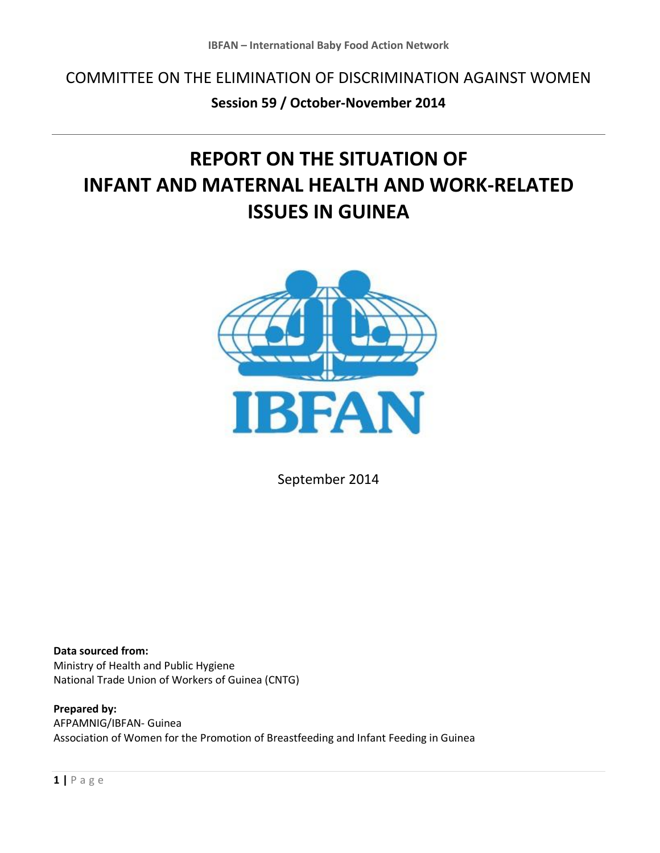COMMITTEE ON THE ELIMINATION OF DISCRIMINATION AGAINST WOMEN

## **Session 59 / October-November 2014**

# **REPORT ON THE SITUATION OF INFANT AND MATERNAL HEALTH AND WORK-RELATED ISSUES IN GUINEA**



September 2014

**Data sourced from:** Ministry of Health and Public Hygiene National Trade Union of Workers of Guinea (CNTG)

**Prepared by:**  AFPAMNIG/IBFAN- Guinea Association of Women for the Promotion of Breastfeeding and Infant Feeding in Guinea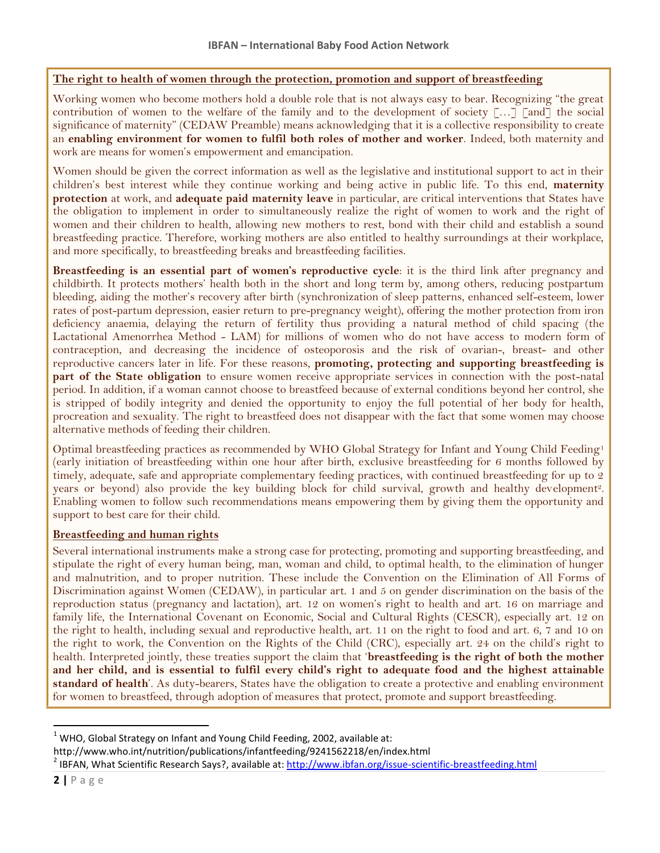#### **The right to health of women through the protection, promotion and support of breastfeeding**

Working women who become mothers hold a double role that is not always easy to bear. Recognizing "the great contribution of women to the welfare of the family and to the development of society […] [and] the social significance of maternity" (CEDAW Preamble) means acknowledging that it is a collective responsibility to create an **enabling environment for women to fulfil both roles of mother and worker**. Indeed, both maternity and work are means for women's empowerment and emancipation.

Women should be given the correct information as well as the legislative and institutional support to act in their children's best interest while they continue working and being active in public life. To this end, **maternity protection** at work, and **adequate paid maternity leave** in particular, are critical interventions that States have the obligation to implement in order to simultaneously realize the right of women to work and the right of women and their children to health, allowing new mothers to rest, bond with their child and establish a sound breastfeeding practice. Therefore, working mothers are also entitled to healthy surroundings at their workplace, and more specifically, to breastfeeding breaks and breastfeeding facilities.

**Breastfeeding is an essential part of women's reproductive cycle**: it is the third link after pregnancy and childbirth. It protects mothers' health both in the short and long term by, among others, reducing postpartum bleeding, aiding the mother's recovery after birth (synchronization of sleep patterns, enhanced self-esteem, lower rates of post-partum depression, easier return to pre-pregnancy weight), offering the mother protection from iron deficiency anaemia, delaying the return of fertility thus providing a natural method of child spacing (the Lactational Amenorrhea Method - LAM) for millions of women who do not have access to modern form of contraception, and decreasing the incidence of osteoporosis and the risk of ovarian-, breast- and other reproductive cancers later in life. For these reasons, **promoting, protecting and supporting breastfeeding is part of the State obligation** to ensure women receive appropriate services in connection with the post-natal period. In addition, if a woman cannot choose to breastfeed because of external conditions beyond her control, she is stripped of bodily integrity and denied the opportunity to enjoy the full potential of her body for health, procreation and sexuality. The right to breastfeed does not disappear with the fact that some women may choose alternative methods of feeding their children.

Optimal breastfeeding practices as recommended by WHO Global Strategy for Infant and Young Child Feeding<sup>1</sup> (early initiation of breastfeeding within one hour after birth, exclusive breastfeeding for 6 months followed by timely, adequate, safe and appropriate complementary feeding practices, with continued breastfeeding for up to 2 years or beyond) also provide the key building block for child survival, growth and healthy development<sup>2</sup>. Enabling women to follow such recommendations means empowering them by giving them the opportunity and support to best care for their child.

#### **Breastfeeding and human rights**

Several international instruments make a strong case for protecting, promoting and supporting breastfeeding, and stipulate the right of every human being, man, woman and child, to optimal health, to the elimination of hunger and malnutrition, and to proper nutrition. These include the Convention on the Elimination of All Forms of Discrimination against Women (CEDAW), in particular art. 1 and 5 on gender discrimination on the basis of the reproduction status (pregnancy and lactation), art. 12 on women's right to health and art. 16 on marriage and family life, the International Covenant on Economic, Social and Cultural Rights (CESCR), especially art. 12 on the right to health, including sexual and reproductive health, art. 11 on the right to food and art. 6, 7 and 10 on the right to work, the Convention on the Rights of the Child (CRC), especially art. 24 on the child's right to health. Interpreted jointly, these treaties support the claim that '**breastfeeding is the right of both the mother and her child, and is essential to fulfil every child's right to adequate food and the highest attainable standard of health**'. As duty-bearers, States have the obligation to create a protective and enabling environment for women to breastfeed, through adoption of measures that protect, promote and support breastfeeding.

http://www.who.int/nutrition/publications/infantfeeding/9241562218/en/index.html

 $1$  WHO, Global Strategy on Infant and Young Child Feeding, 2002, available at:

<sup>&</sup>lt;sup>2</sup> IBFAN, What Scientific Research Says?, available at: <u>http://www.ibfan.org/issue-scientific-breastfeeding.html</u>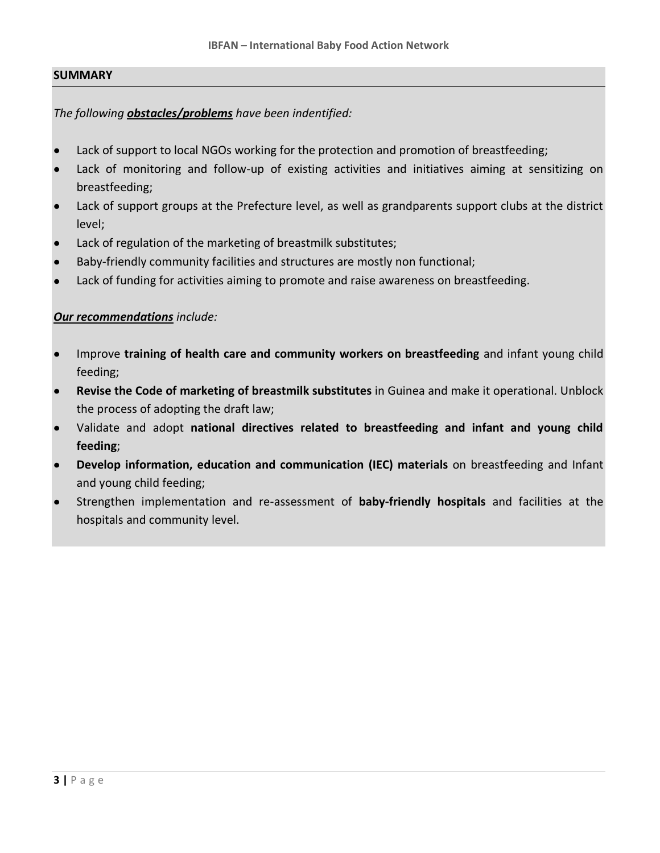#### **SUMMARY**

#### *The following obstacles/problems have been indentified:*

- Lack of support to local NGOs working for the protection and promotion of breastfeeding;
- Lack of monitoring and follow-up of existing activities and initiatives aiming at sensitizing on breastfeeding;
- Lack of support groups at the Prefecture level, as well as grandparents support clubs at the district level;
- Lack of regulation of the marketing of breastmilk substitutes;
- Baby-friendly community facilities and structures are mostly non functional;
- Lack of funding for activities aiming to promote and raise awareness on breastfeeding.

### *Our recommendations include:*

- Improve **training of health care and community workers on breastfeeding** and infant young child feeding;
- **Revise the Code of marketing of breastmilk substitutes** in Guinea and make it operational. Unblock the process of adopting the draft law;
- Validate and adopt **national directives related to breastfeeding and infant and young child feeding**;
- **Develop information, education and communication (IEC) materials** on breastfeeding and Infant and young child feeding;
- Strengthen implementation and re-assessment of **baby-friendly hospitals** and facilities at the hospitals and community level.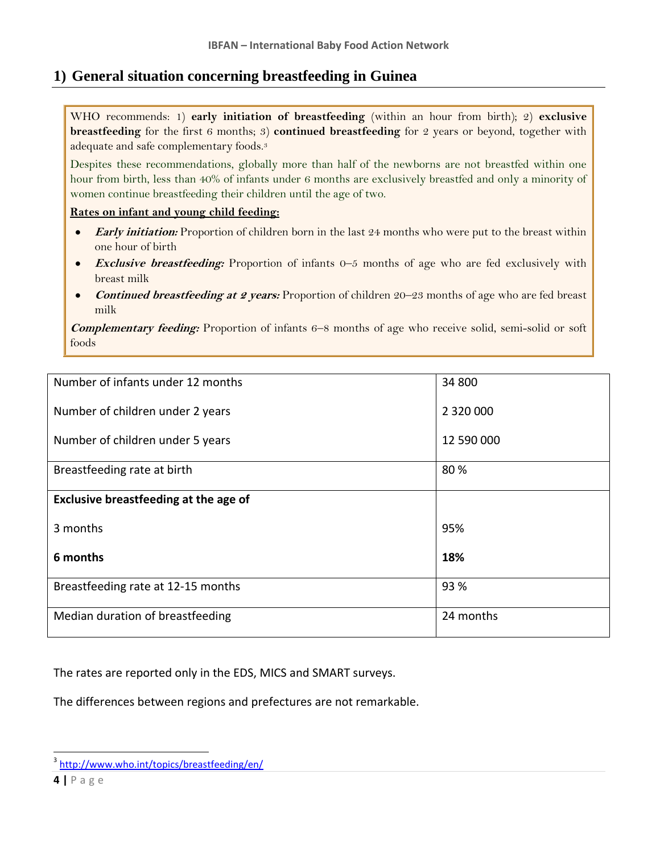## **1) General situation concerning breastfeeding in Guinea**

WHO recommends: 1) **early initiation of breastfeeding** (within an hour from birth); 2) **exclusive breastfeeding** for the first 6 months; 3) **continued breastfeeding** for 2 years or beyond, together with adequate and safe complementary foods.<sup>3</sup>

Despites these recommendations, globally more than half of the newborns are not breastfed within one hour from birth, less than 40% of infants under 6 months are exclusively breastfed and only a minority of women continue breastfeeding their children until the age of two.

#### **Rates on infant and young child feeding:**

- **Early initiation:** Proportion of children born in the last 24 months who were put to the breast within  $\bullet$ one hour of birth
- **Exclusive breastfeeding:** Proportion of infants 0–5 months of age who are fed exclusively with breast milk
- **Continued breastfeeding at 2 years:** Proportion of children 20–23 months of age who are fed breast  $\bullet$ milk

**Complementary feeding:** Proportion of infants 6–8 months of age who receive solid, semi-solid or soft foods

| Number of infants under 12 months     | 34 800     |
|---------------------------------------|------------|
|                                       |            |
| Number of children under 2 years      |            |
|                                       |            |
| Number of children under 5 years      | 12 590 000 |
|                                       |            |
| Breastfeeding rate at birth           | 80%        |
|                                       |            |
| Exclusive breastfeeding at the age of |            |
|                                       |            |
| 3 months                              | 95%        |
|                                       |            |
| 6 months                              | 18%        |
|                                       |            |
| Breastfeeding rate at 12-15 months    | 93 %       |
|                                       |            |
| Median duration of breastfeeding      | 24 months  |
|                                       |            |

The rates are reported only in the EDS, MICS and SMART surveys.

The differences between regions and prefectures are not remarkable.

<sup>3</sup> <http://www.who.int/topics/breastfeeding/en/>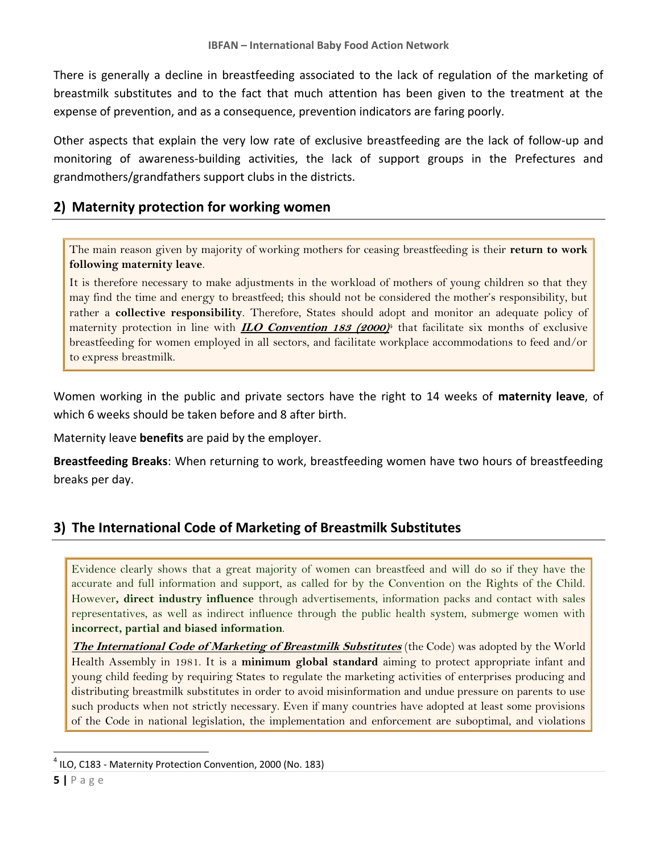There is generally a decline in breastfeeding associated to the lack of regulation of the marketing of breastmilk substitutes and to the fact that much attention has been given to the treatment at the expense of prevention, and as a consequence, prevention indicators are faring poorly.

Other aspects that explain the very low rate of exclusive breastfeeding are the lack of follow-up and monitoring of awareness-building activities, the lack of support groups in the Prefectures and grandmothers/grandfathers support clubs in the districts.

## **2) Maternity protection for working women**

The main reason given by majority of working mothers for ceasing breastfeeding is their **return to work following maternity leave**.

It is therefore necessary to make adjustments in the workload of mothers of young children so that they may find the time and energy to breastfeed; this should not be considered the mother's responsibility, but rather a **collective responsibility**. Therefore, States should adopt and monitor an adequate policy of maternity protection in line with **ILO Convention 183 (2000)** <sup>4</sup> that facilitate six months of exclusive breastfeeding for women employed in all sectors, and facilitate workplace accommodations to feed and/or to express breastmilk.

Women working in the public and private sectors have the right to 14 weeks of **maternity leave**, of which 6 weeks should be taken before and 8 after birth.

Maternity leave **benefits** are paid by the employer.

**Breastfeeding Breaks**: When returning to work, breastfeeding women have two hours of breastfeeding breaks per day.

## **3) The International Code of Marketing of Breastmilk Substitutes**

Evidence clearly shows that a great majority of women can breastfeed and will do so if they have the accurate and full information and support, as called for by the Convention on the Rights of the Child. However**, direct industry influence** through advertisements, information packs and contact with sales representatives, as well as indirect influence through the public health system, submerge women with **incorrect, partial and biased information**.

**The International Code of Marketing of Breastmilk Substitutes** (the Code) was adopted by the World Health Assembly in 1981. It is a **minimum global standard** aiming to protect appropriate infant and young child feeding by requiring States to regulate the marketing activities of enterprises producing and distributing breastmilk substitutes in order to avoid misinformation and undue pressure on parents to use such products when not strictly necessary. Even if many countries have adopted at least some provisions of the Code in national legislation, the implementation and enforcement are suboptimal, and violations

<sup>&</sup>lt;sup>4</sup> ILO, C183 - Maternity Protection Convention, 2000 (No. 183)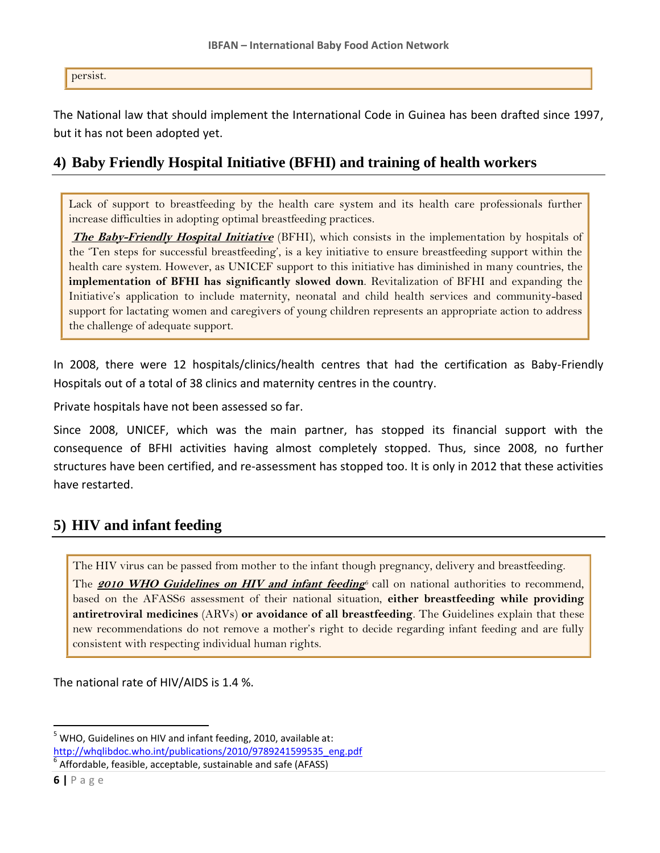persist.

The National law that should implement the International Code in Guinea has been drafted since 1997, but it has not been adopted yet.

## **4) Baby Friendly Hospital Initiative (BFHI) and training of health workers**

Lack of support to breastfeeding by the health care system and its health care professionals further increase difficulties in adopting optimal breastfeeding practices.

**The Baby-Friendly Hospital Initiative** (BFHI), which consists in the implementation by hospitals of the 'Ten steps for successful breastfeeding', is a key initiative to ensure breastfeeding support within the health care system. However, as UNICEF support to this initiative has diminished in many countries, the **implementation of BFHI has significantly slowed down**. Revitalization of BFHI and expanding the Initiative's application to include maternity, neonatal and child health services and community-based support for lactating women and caregivers of young children represents an appropriate action to address the challenge of adequate support.

In 2008, there were 12 hospitals/clinics/health centres that had the certification as Baby-Friendly Hospitals out of a total of 38 clinics and maternity centres in the country.

Private hospitals have not been assessed so far.

Since 2008, UNICEF, which was the main partner, has stopped its financial support with the consequence of BFHI activities having almost completely stopped. Thus, since 2008, no further structures have been certified, and re-assessment has stopped too. It is only in 2012 that these activities have restarted.

## **5) HIV and infant feeding**

The HIV virus can be passed from mother to the infant though pregnancy, delivery and breastfeeding.

The **2010 WHO Guidelines on HIV and infant feeding**<sup>6</sup> call on national authorities to recommend, based on the AFASS6 assessment of their national situation, **either breastfeeding while providing antiretroviral medicines** (ARVs) **or avoidance of all breastfeeding**. The Guidelines explain that these new recommendations do not remove a mother's right to decide regarding infant feeding and are fully consistent with respecting individual human rights.

The national rate of HIV/AIDS is 1.4 %.

<sup>5</sup> WHO, Guidelines on HIV and infant feeding, 2010, available at: [http://whqlibdoc.who.int/publications/2010/9789241599535\\_eng.pdf](http://whqlibdoc.who.int/publications/2010/9789241599535_eng.pdf)

6 Affordable, feasible, acceptable, sustainable and safe (AFASS)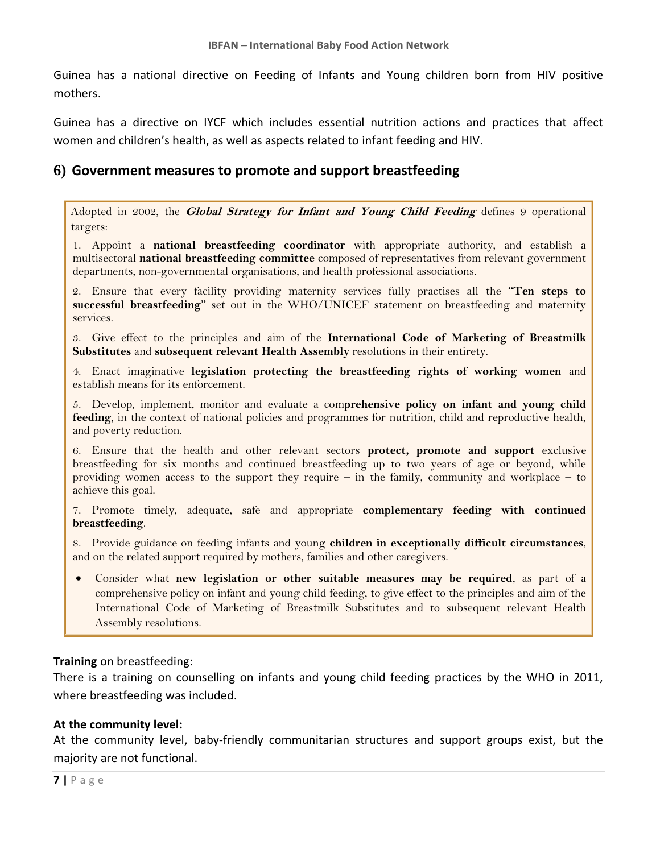Guinea has a national directive on Feeding of Infants and Young children born from HIV positive mothers.

Guinea has a directive on IYCF which includes essential nutrition actions and practices that affect women and children's health, as well as aspects related to infant feeding and HIV.

## **6) Government measures to promote and support breastfeeding**

Adopted in 2002, the **Global Strategy for Infant and Young Child Feeding** defines 9 operational targets:

1. Appoint a **national breastfeeding coordinator** with appropriate authority, and establish a multisectoral **national breastfeeding committee** composed of representatives from relevant government departments, non-governmental organisations, and health professional associations.

2. Ensure that every facility providing maternity services fully practises all the **"Ten steps to successful breastfeeding"** set out in the WHO/UNICEF statement on breastfeeding and maternity services.

3. Give effect to the principles and aim of the **International Code of Marketing of Breastmilk Substitutes** and **subsequent relevant Health Assembly** resolutions in their entirety.

4. Enact imaginative **legislation protecting the breastfeeding rights of working women** and establish means for its enforcement.

5. Develop, implement, monitor and evaluate a com**prehensive policy on infant and young child feeding**, in the context of national policies and programmes for nutrition, child and reproductive health, and poverty reduction.

6. Ensure that the health and other relevant sectors **protect, promote and support** exclusive breastfeeding for six months and continued breastfeeding up to two years of age or beyond, while providing women access to the support they require – in the family, community and workplace – to achieve this goal.

7. Promote timely, adequate, safe and appropriate **complementary feeding with continued breastfeeding**.

8. Provide guidance on feeding infants and young **children in exceptionally difficult circumstances**, and on the related support required by mothers, families and other caregivers.

Consider what **new legislation or other suitable measures may be required**, as part of a comprehensive policy on infant and young child feeding, to give effect to the principles and aim of the International Code of Marketing of Breastmilk Substitutes and to subsequent relevant Health Assembly resolutions.

### **Training** on breastfeeding:

There is a training on counselling on infants and young child feeding practices by the WHO in 2011, where breastfeeding was included.

### **At the community level:**

At the community level, baby-friendly communitarian structures and support groups exist, but the majority are not functional.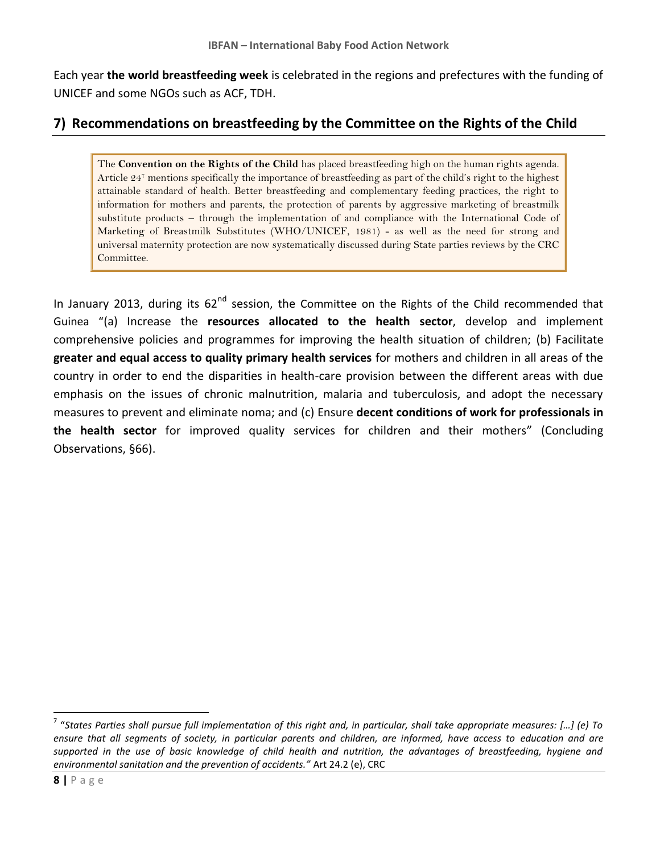Each year **the world breastfeeding week** is celebrated in the regions and prefectures with the funding of UNICEF and some NGOs such as ACF, TDH.

## **7) Recommendations on breastfeeding by the Committee on the Rights of the Child**

The **Convention on the Rights of the Child** has placed breastfeeding high on the human rights agenda. Article 24<sup>7</sup> mentions specifically the importance of breastfeeding as part of the child's right to the highest attainable standard of health. Better breastfeeding and complementary feeding practices, the right to information for mothers and parents, the protection of parents by aggressive marketing of breastmilk substitute products – through the implementation of and compliance with the International Code of Marketing of Breastmilk Substitutes (WHO/UNICEF, 1981) - as well as the need for strong and universal maternity protection are now systematically discussed during State parties reviews by the CRC Committee.

In January 2013, during its  $62<sup>nd</sup>$  session, the Committee on the Rights of the Child recommended that Guinea "(a) Increase the **resources allocated to the health sector**, develop and implement comprehensive policies and programmes for improving the health situation of children; (b) Facilitate **greater and equal access to quality primary health services** for mothers and children in all areas of the country in order to end the disparities in health-care provision between the different areas with due emphasis on the issues of chronic malnutrition, malaria and tuberculosis, and adopt the necessary measures to prevent and eliminate noma; and (c) Ensure **decent conditions of work for professionals in the health sector** for improved quality services for children and their mothers" (Concluding Observations, §66).

 7 "*States Parties shall pursue full implementation of this right and, in particular, shall take appropriate measures: […] (e) To ensure that all segments of society, in particular parents and children, are informed, have access to education and are supported in the use of basic knowledge of child health and nutrition, the advantages of breastfeeding, hygiene and environmental sanitation and the prevention of accidents."* Art 24.2 (e), CRC